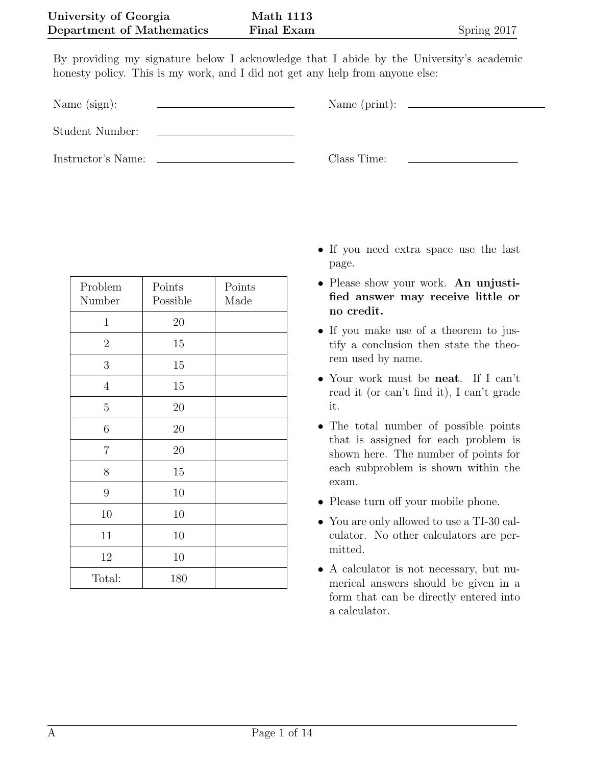By providing my signature below I acknowledge that I abide by the University's academic honesty policy. This is my work, and I did not get any help from anyone else:

Name (sign):  $\qquad \qquad \qquad$  Name (print):

Student Number:

Instructor's Name: Class Time:

| Problem          | Points   | Points |
|------------------|----------|--------|
| Number           | Possible | Made   |
| $\mathbf{1}$     | 20       |        |
| $\boldsymbol{2}$ | 15       |        |
| $\boldsymbol{3}$ | 15       |        |
| $\overline{4}$   | 15       |        |
| $\overline{5}$   | 20       |        |
| $\,6$            | 20       |        |
| $\overline{7}$   | 20       |        |
| 8                | 15       |        |
| 9                | 10       |        |
| 10               | 10       |        |
| 11               | 10       |        |
| 12               | 10       |        |
| Total:           | 180      |        |

- *•* If you need extra space use the last page.
- *•* Please show your work. **An unjustified answer may receive little or no credit.**
- *•* If you make use of a theorem to justify a conclusion then state the theorem used by name.
- *•* Your work must be **neat**. If I can't read it (or can't find it), I can't grade it.
- *•* The total number of possible points that is assigned for each problem is shown here. The number of points for each subproblem is shown within the exam.
- Please turn off your mobile phone.
- *•* You are only allowed to use a TI-30 calculator. No other calculators are permitted.
- A calculator is not necessary, but numerical answers should be given in a form that can be directly entered into a calculator.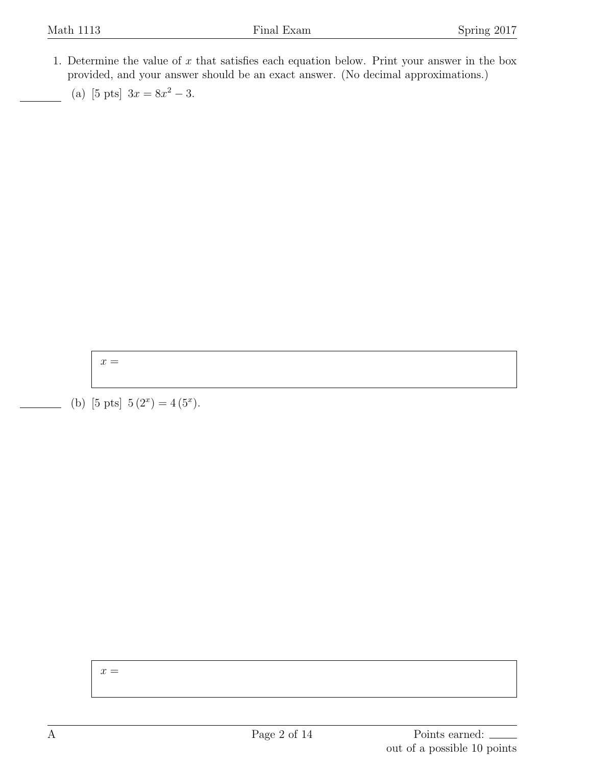- 1. Determine the value of *x* that satisfies each equation below. Print your answer in the box provided, and your answer should be an exact answer. (No decimal approximations.)
	- (a) [5 pts]  $3x = 8x^2 3$ .

 $x =$ 

(b) [5 pts]  $5(2<sup>x</sup>) = 4(5<sup>x</sup>)$ .

*x* =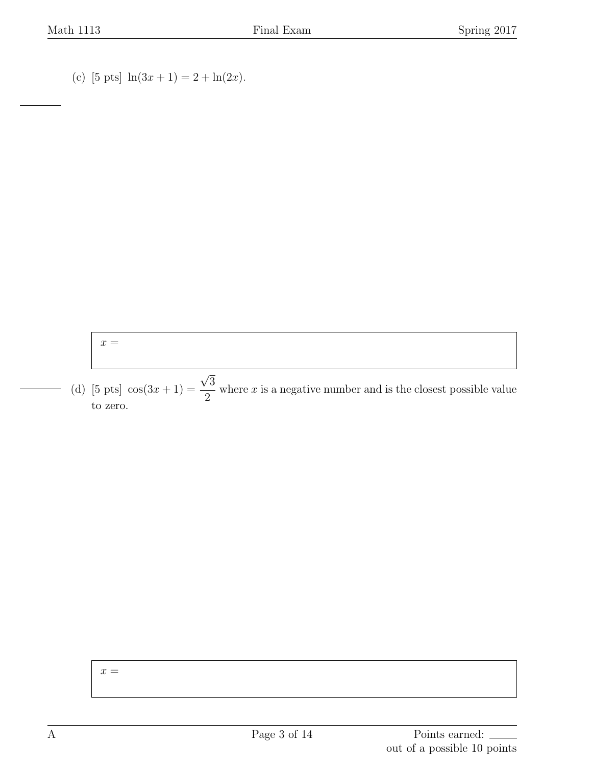(c) [5 pts]  $\ln(3x + 1) = 2 + \ln(2x)$ .

## $x =$

(d) [5 pts]  $\cos(3x+1) =$ *√* 3 2 where *x* is a negative number and is the closest possible value to zero.

## $x =$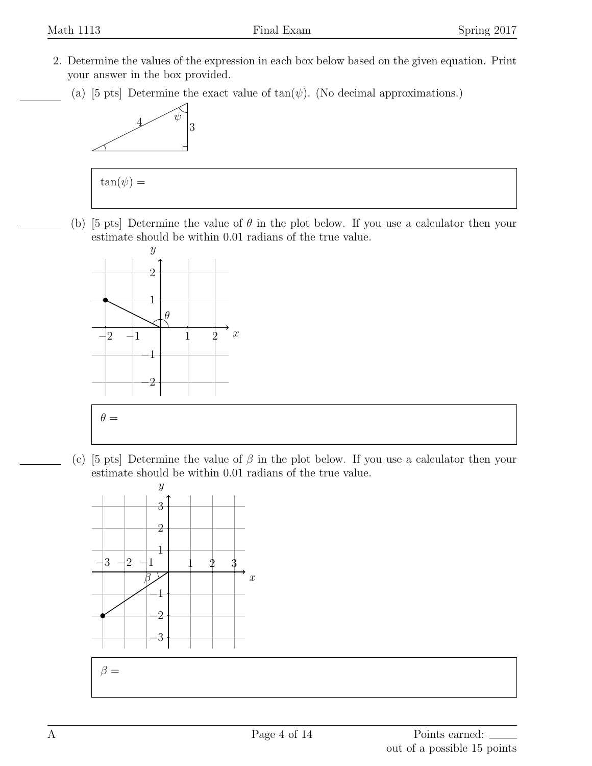- 2. Determine the values of the expression in each box below based on the given equation. Print your answer in the box provided.
	- (a) [5 pts] Determine the exact value of  $tan(\psi)$ . (No decimal approximations.)





(b) [5 pts] Determine the value of *θ* in the plot below. If you use a calculator then your estimate should be within 0.01 radians of the true value.



(c) [5 pts] Determine the value of *β* in the plot below. If you use a calculator then your estimate should be within 0.01 radians of the true value.

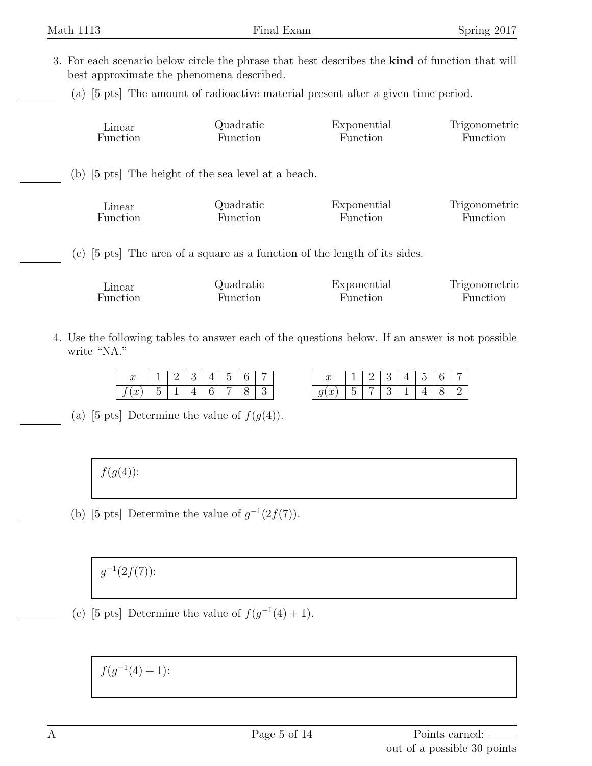- 3. For each scenario below circle the phrase that best describes the **kind** of function that will best approximate the phenomena described.
	- (a) [5 pts] The amount of radioactive material present after a given time period.

| Linear   | Quadratic                                           | Exponential                                                                          | Trigonometric |
|----------|-----------------------------------------------------|--------------------------------------------------------------------------------------|---------------|
| Function | Function                                            | Function                                                                             | Function      |
|          | (b) [5 pts] The height of the sea level at a beach. |                                                                                      |               |
| Linear   | Quadratic                                           | Exponential                                                                          | Trigonometric |
| Function | Function                                            | Function                                                                             | Function      |
|          |                                                     | (c) $[5 \text{ pts}]$ The area of a square as a function of the length of its sides. |               |
| Linear   | Quadratic                                           | Exponential                                                                          | Trigonometric |
| Function | Function                                            | Function                                                                             | Function      |

4. Use the following tables to answer each of the questions below. If an answer is not possible write "NA."

| u              |  |  |  |  |
|----------------|--|--|--|--|
| $\sim$<br>y(x) |  |  |  |  |

(a) [5 pts] Determine the value of  $f(g(4))$ .

## *f*(*g*(4)):

(b) [5 pts] Determine the value of  $g^{-1}(2f(7))$ .

*g −*1 (2*f*(7)):

(c) [5 pts] Determine the value of  $f(g^{-1}(4) + 1)$ .

 $f(g^{-1}(4) + 1)$ :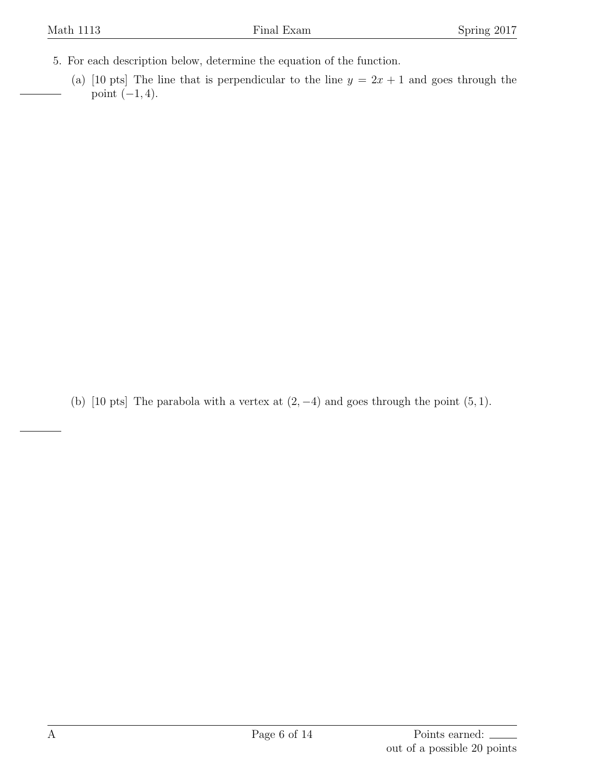- 5. For each description below, determine the equation of the function.
	- (a) [10 pts] The line that is perpendicular to the line  $y = 2x + 1$  and goes through the point (*−*1*,* 4).

(b) [10 pts] The parabola with a vertex at  $(2, -4)$  and goes through the point  $(5, 1)$ .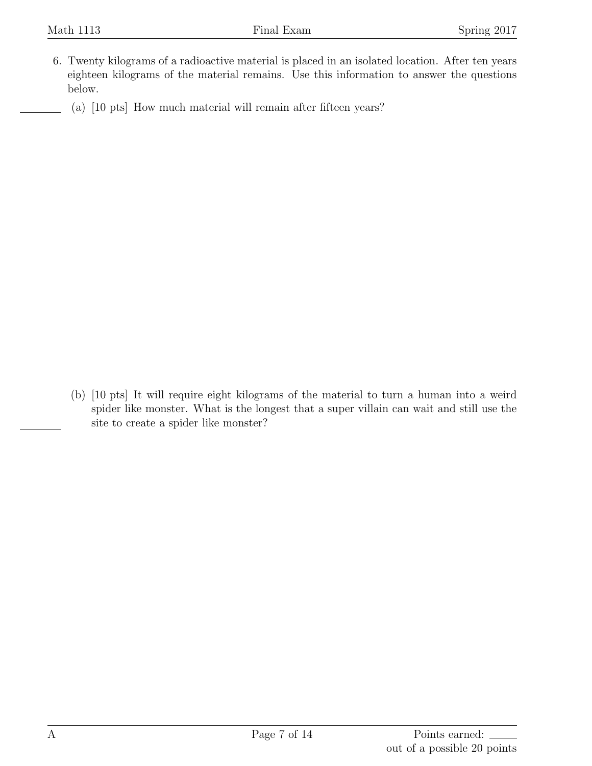- 6. Twenty kilograms of a radioactive material is placed in an isolated location. After ten years eighteen kilograms of the material remains. Use this information to answer the questions below.
	- (a) [10 pts] How much material will remain after fifteen years?

(b) [10 pts] It will require eight kilograms of the material to turn a human into a weird spider like monster. What is the longest that a super villain can wait and still use the site to create a spider like monster?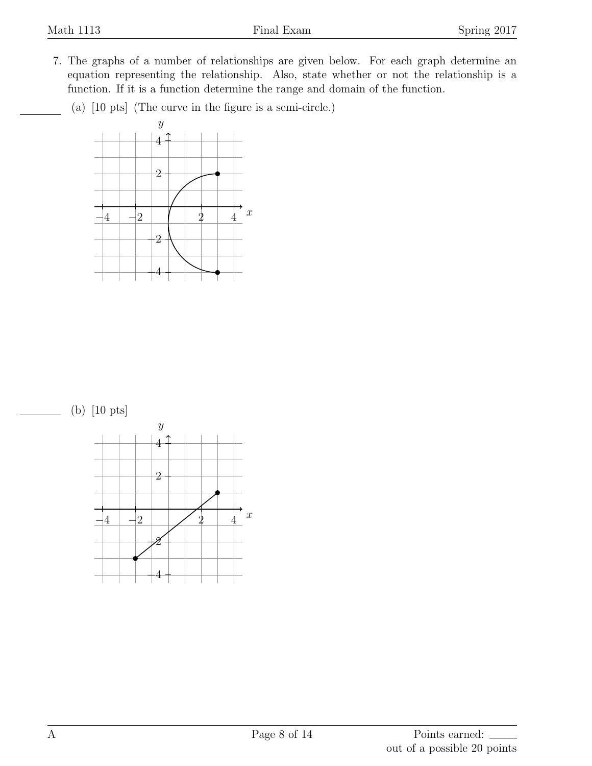- 7. The graphs of a number of relationships are given below. For each graph determine an equation representing the relationship. Also, state whether or not the relationship is a function. If it is a function determine the range and domain of the function.
	- (a) [10 pts] (The curve in the figure is a semi-circle.)



(b) [10 pts]

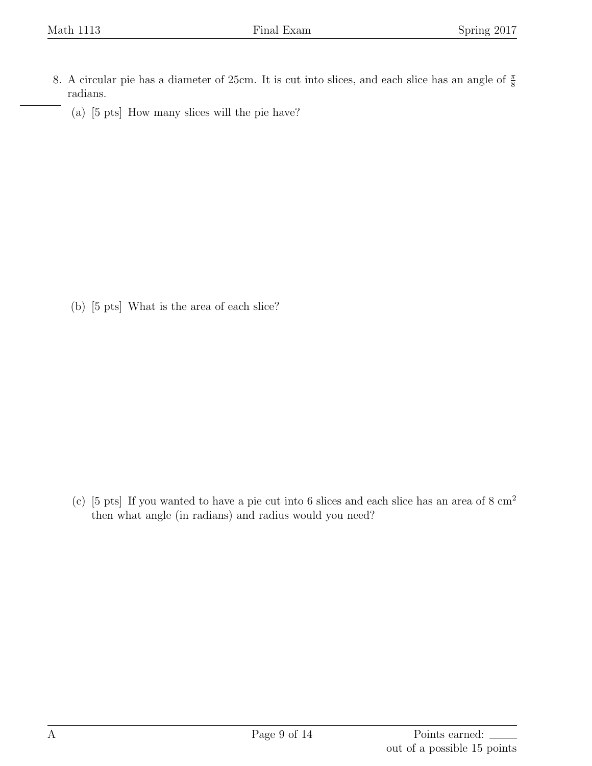- 8. A circular pie has a diameter of 25cm. It is cut into slices, and each slice has an angle of *<sup>π</sup>* 8 radians.
	- (a) [5 pts] How many slices will the pie have?

(b) [5 pts] What is the area of each slice?

(c) [5 pts] If you wanted to have a pie cut into 6 slices and each slice has an area of  $8 \text{ cm}^2$ then what angle (in radians) and radius would you need?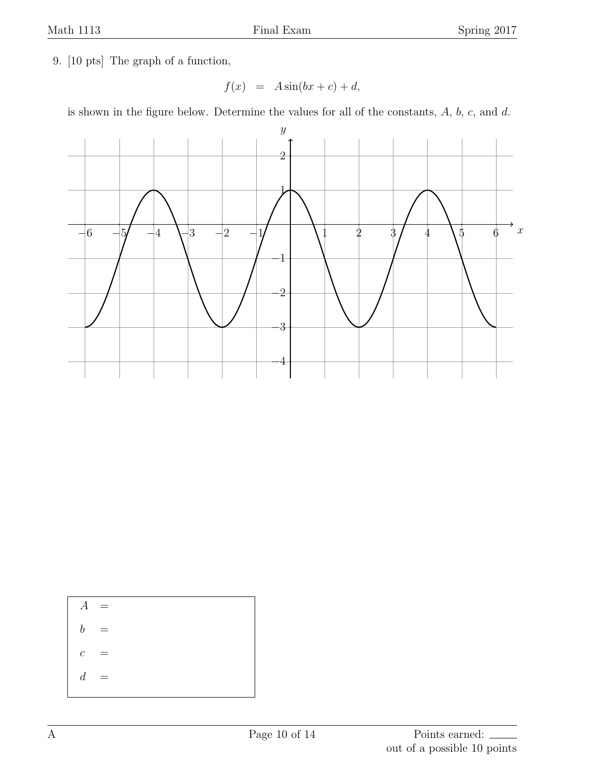9. [10 pts] The graph of a function,

$$
f(x) = A\sin(bx + c) + d,
$$

is shown in the figure below. Determine the values for all of the constants, *A*, *b*, *c*, and *d*.



 $A =$  $b =$  $c =$  $d =$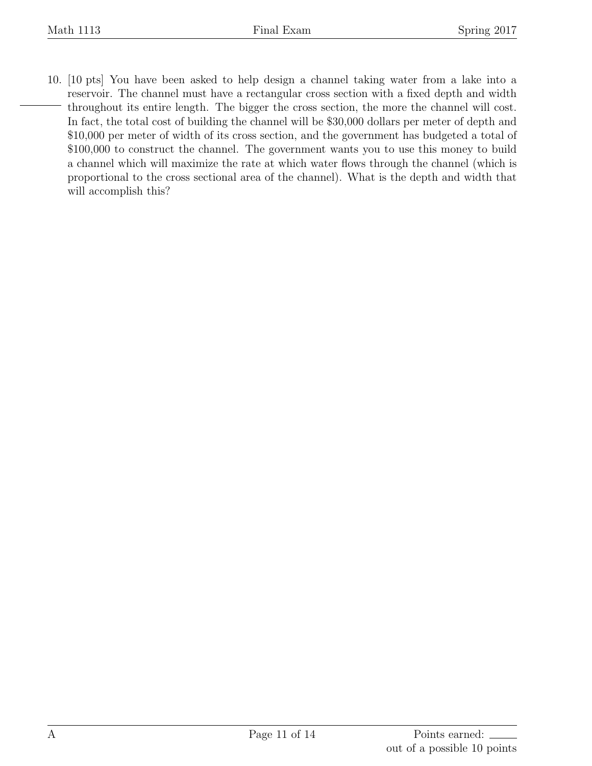10. [10 pts] You have been asked to help design a channel taking water from a lake into a reservoir. The channel must have a rectangular cross section with a fixed depth and width throughout its entire length. The bigger the cross section, the more the channel will cost. In fact, the total cost of building the channel will be \$30,000 dollars per meter of depth and \$10,000 per meter of width of its cross section, and the government has budgeted a total of \$100,000 to construct the channel. The government wants you to use this money to build a channel which will maximize the rate at which water flows through the channel (which is proportional to the cross sectional area of the channel). What is the depth and width that will accomplish this?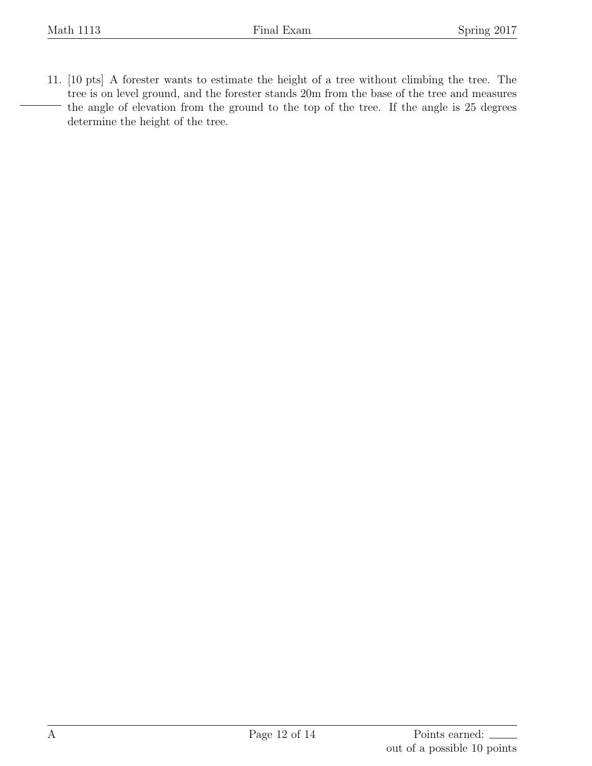11. [10 pts] A forester wants to estimate the height of a tree without climbing the tree. The tree is on level ground, and the forester stands 20m from the base of the tree and measures the angle of elevation from the ground to the top of the tree. If the angle is 25 degrees determine the height of the tree.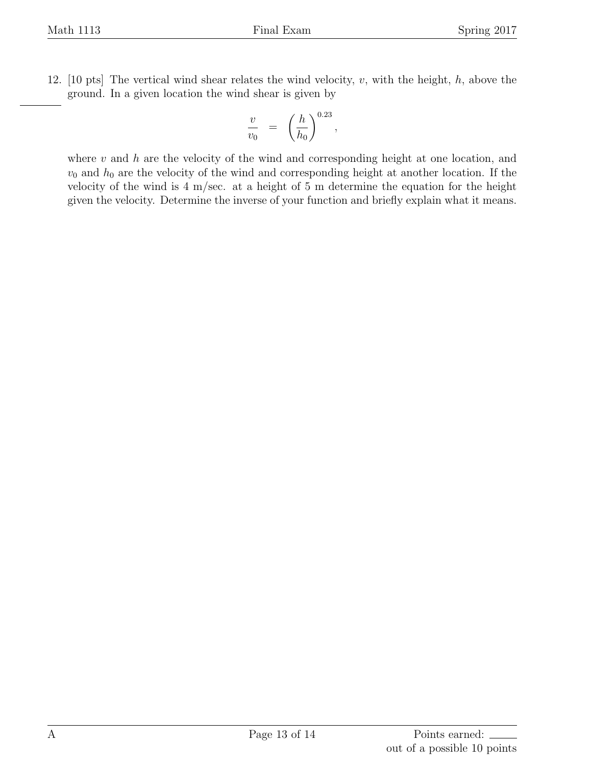12. [10 pts] The vertical wind shear relates the wind velocity, *v*, with the height, *h*, above the ground. In a given location the wind shear is given by

$$
\frac{v}{v_0} = \left(\frac{h}{h_0}\right)^{0.23},
$$

where *v* and *h* are the velocity of the wind and corresponding height at one location, and  $v_0$  and  $h_0$  are the velocity of the wind and corresponding height at another location. If the velocity of the wind is 4 m/sec. at a height of 5 m determine the equation for the height given the velocity. Determine the inverse of your function and briefly explain what it means.